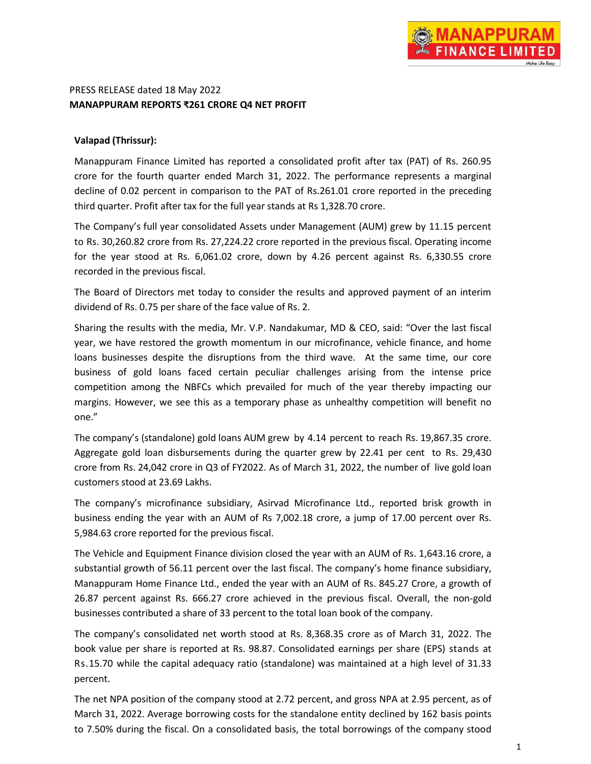# PRESS RELEASE dated 18 May 2022 **MANAPPURAM REPORTS ₹261 CRORE Q4 NET PROFIT**

## **Valapad (Thrissur):**

Manappuram Finance Limited has reported a consolidated profit after tax (PAT) of Rs. 260.95 crore for the fourth quarter ended March 31, 2022. The performance represents a marginal decline of 0.02 percent in comparison to the PAT of Rs.261.01 crore reported in the preceding third quarter. Profit after tax for the full year stands at Rs 1,328.70 crore.

The Company's full year consolidated Assets under Management (AUM) grew by 11.15 percent to Rs. 30,260.82 crore from Rs. 27,224.22 crore reported in the previous fiscal. Operating income for the year stood at Rs. 6,061.02 crore, down by 4.26 percent against Rs. 6,330.55 crore recorded in the previous fiscal.

The Board of Directors met today to consider the results and approved payment of an interim dividend of Rs. 0.75 per share of the face value of Rs. 2.

Sharing the results with the media, Mr. V.P. Nandakumar, MD & CEO, said: "Over the last fiscal year, we have restored the growth momentum in our microfinance, vehicle finance, and home loans businesses despite the disruptions from the third wave. At the same time, our core business of gold loans faced certain peculiar challenges arising from the intense price competition among the NBFCs which prevailed for much of the year thereby impacting our margins. However, we see this as a temporary phase as unhealthy competition will benefit no one."

The company's (standalone) gold loans AUM grew by 4.14 percent to reach Rs. 19,867.35 crore. Aggregate gold loan disbursements during the quarter grew by 22.41 per cent to Rs. 29,430 crore from Rs. 24,042 crore in Q3 of FY2022. As of March 31, 2022, the number of live gold loan customers stood at 23.69 Lakhs.

The company's microfinance subsidiary, Asirvad Microfinance Ltd., reported brisk growth in business ending the year with an AUM of Rs 7,002.18 crore, a jump of 17.00 percent over Rs. 5,984.63 crore reported for the previous fiscal.

The Vehicle and Equipment Finance division closed the year with an AUM of Rs. 1,643.16 crore, a substantial growth of 56.11 percent over the last fiscal. The company's home finance subsidiary, Manappuram Home Finance Ltd., ended the year with an AUM of Rs. 845.27 Crore, a growth of 26.87 percent against Rs. 666.27 crore achieved in the previous fiscal. Overall, the non-gold businesses contributed a share of 33 percent to the total loan book of the company.

The company's consolidated net worth stood at Rs. 8,368.35 crore as of March 31, 2022. The book value per share is reported at Rs. 98.87. Consolidated earnings per share (EPS) stands at Rs.15.70 while the capital adequacy ratio (standalone) was maintained at a high level of 31.33 percent.

The net NPA position of the company stood at 2.72 percent, and gross NPA at 2.95 percent, as of March 31, 2022. Average borrowing costs for the standalone entity declined by 162 basis points to 7.50% during the fiscal. On a consolidated basis, the total borrowings of the company stood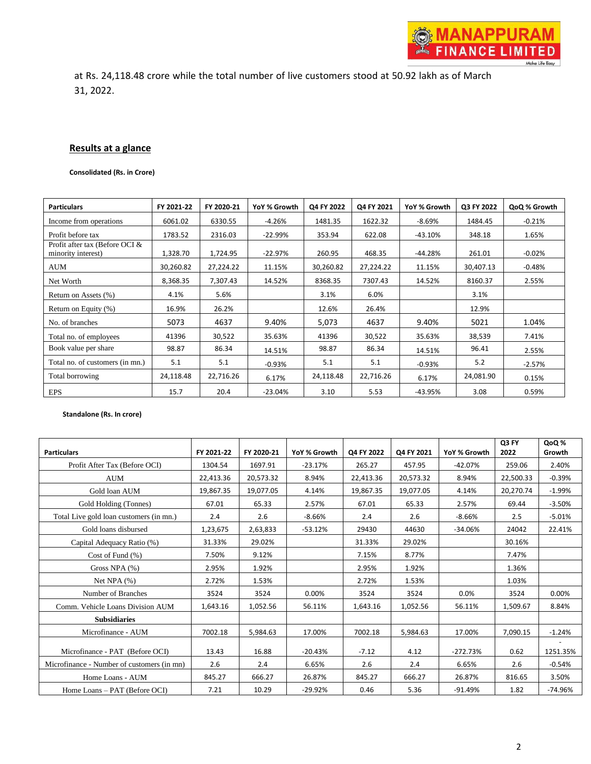at Rs. 24,118.48 crore while the total number of live customers stood at 50.92 lakh as of March 31, 2022.

#### **Results at a glance**

**Consolidated (Rs. in Crore)**

| <b>Particulars</b>                                   | FY 2021-22 | FY 2020-21 | YoY % Growth | Q4 FY 2022 | Q4 FY 2021 | YoY % Growth | Q3 FY 2022 | QoQ % Growth |
|------------------------------------------------------|------------|------------|--------------|------------|------------|--------------|------------|--------------|
| Income from operations                               | 6061.02    | 6330.55    | $-4.26%$     | 1481.35    | 1622.32    | $-8.69%$     | 1484.45    | $-0.21%$     |
| Profit before tax                                    | 1783.52    | 2316.03    | $-22.99%$    | 353.94     | 622.08     | $-43.10\%$   | 348.18     | 1.65%        |
| Profit after tax (Before OCI &<br>minority interest) | 1,328.70   | 1,724.95   | $-22.97%$    | 260.95     | 468.35     | -44.28%      | 261.01     | $-0.02%$     |
| AUM                                                  | 30,260.82  | 27,224.22  | 11.15%       | 30,260.82  | 27,224.22  | 11.15%       | 30,407.13  | $-0.48%$     |
| Net Worth                                            | 8,368.35   | 7,307.43   | 14.52%       | 8368.35    | 7307.43    | 14.52%       | 8160.37    | 2.55%        |
| Return on Assets (%)                                 | 4.1%       | 5.6%       |              | 3.1%       | 6.0%       |              | 3.1%       |              |
| Return on Equity (%)                                 | 16.9%      | 26.2%      |              | 12.6%      | 26.4%      |              | 12.9%      |              |
| No. of branches                                      | 5073       | 4637       | 9.40%        | 5,073      | 4637       | 9.40%        | 5021       | 1.04%        |
| Total no. of employees                               | 41396      | 30,522     | 35.63%       | 41396      | 30,522     | 35.63%       | 38,539     | 7.41%        |
| Book value per share                                 | 98.87      | 86.34      | 14.51%       | 98.87      | 86.34      | 14.51%       | 96.41      | 2.55%        |
| Total no. of customers (in mn.)                      | 5.1        | 5.1        | $-0.93%$     | 5.1        | 5.1        | $-0.93%$     | 5.2        | $-2.57%$     |
| Total borrowing                                      | 24,118.48  | 22,716.26  | 6.17%        | 24,118.48  | 22,716.26  | 6.17%        | 24,081.90  | 0.15%        |
| EPS                                                  | 15.7       | 20.4       | $-23.04%$    | 3.10       | 5.53       | $-43.95%$    | 3.08       | 0.59%        |

#### **Standalone (Rs. In crore)**

| <b>Particulars</b>                         | FY 2021-22 | FY 2020-21 | YoY % Growth | Q4 FY 2022 | Q4 FY 2021 | YoY % Growth | Q3 FY<br>2022 | <b>QoQ%</b><br>Growth |
|--------------------------------------------|------------|------------|--------------|------------|------------|--------------|---------------|-----------------------|
| Profit After Tax (Before OCI)              | 1304.54    | 1697.91    | $-23.17%$    | 265.27     | 457.95     | $-42.07%$    | 259.06        | 2.40%                 |
| <b>AUM</b>                                 | 22,413.36  | 20,573.32  | 8.94%        | 22,413.36  | 20,573.32  | 8.94%        | 22,500.33     | $-0.39%$              |
| Gold loan AUM                              | 19,867.35  | 19,077.05  | 4.14%        | 19,867.35  | 19,077.05  | 4.14%        | 20,270.74     | $-1.99%$              |
| Gold Holding (Tonnes)                      | 67.01      | 65.33      | 2.57%        | 67.01      | 65.33      | 2.57%        | 69.44         | $-3.50%$              |
| Total Live gold loan customers (in mn.)    | 2.4        | 2.6        | $-8.66%$     | 2.4        | 2.6        | $-8.66%$     | 2.5           | $-5.01%$              |
| Gold loans disbursed                       | 1,23,675   | 2,63,833   | $-53.12%$    | 29430      | 44630      | $-34.06%$    | 24042         | 22.41%                |
| Capital Adequacy Ratio (%)                 | 31.33%     | 29.02%     |              | 31.33%     | 29.02%     |              | 30.16%        |                       |
| Cost of Fund $(\% )$                       | 7.50%      | 9.12%      |              | 7.15%      | 8.77%      |              | 7.47%         |                       |
| Gross NPA (%)                              | 2.95%      | 1.92%      |              | 2.95%      | 1.92%      |              | 1.36%         |                       |
| Net NPA $(\% )$                            | 2.72%      | 1.53%      |              | 2.72%      | 1.53%      |              | 1.03%         |                       |
| Number of Branches                         | 3524       | 3524       | 0.00%        | 3524       | 3524       | 0.0%         | 3524          | 0.00%                 |
| Comm. Vehicle Loans Division AUM           | 1,643.16   | 1,052.56   | 56.11%       | 1,643.16   | 1,052.56   | 56.11%       | 1,509.67      | 8.84%                 |
| <b>Subsidiaries</b>                        |            |            |              |            |            |              |               |                       |
| Microfinance - AUM                         | 7002.18    | 5,984.63   | 17.00%       | 7002.18    | 5,984.63   | 17.00%       | 7,090.15      | $-1.24%$              |
| Microfinance - PAT (Before OCI)            | 13.43      | 16.88      | $-20.43%$    | $-7.12$    | 4.12       | $-272.73%$   | 0.62          | 1251.35%              |
| Microfinance - Number of customers (in mn) | 2.6        | 2.4        | 6.65%        | 2.6        | 2.4        | 6.65%        | 2.6           | $-0.54%$              |
| Home Loans - AUM                           | 845.27     | 666.27     | 26.87%       | 845.27     | 666.27     | 26.87%       | 816.65        | 3.50%                 |
| Home Loans – PAT (Before OCI)              | 7.21       | 10.29      | $-29.92%$    | 0.46       | 5.36       | $-91.49%$    | 1.82          | $-74.96%$             |